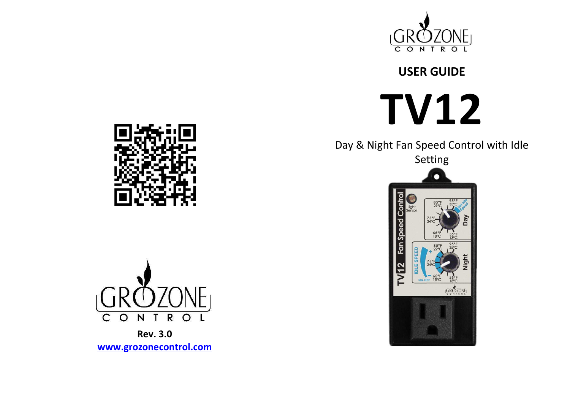

# **USER GUIDE**



Day & Night Fan Speed Control with Idle







**Rev. 3.0 www.grozonecontrol.com**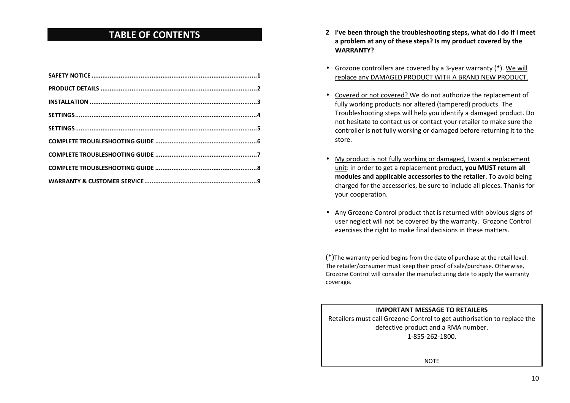## **TABLE OF CONTENTS**

- **2 I've been through the troubleshooting steps, what do I do if I meet a problem at any of these steps? Is my product covered by the WARRANTY?**
- Grozone controllers are covered by a 3-year warranty (**\***). We will replace any DAMAGED PRODUCT WITH A BRAND NEW PRODUCT.
- Covered or not covered? We do not authorize the replacement of fully working products nor altered (tampered) products. The Troubleshooting steps will help you identify a damaged product. Do not hesitate to contact us or contact your retailer to make sure the controller is not fully working or damaged before returning it to the store.
- My product is not fully working or damaged, I want a replacement unit: in order to get a replacement product, **you MUST return all modules and applicable accessories to the retailer**. To avoid being charged for the accessories, be sure to include all pieces. Thanks for your cooperation.
- Any Grozone Control product that is returned with obvious signs of user neglect will not be covered by the warranty. Grozone Control exercises the right to make final decisions in these matters.

(\*)The warranty period begins from the date of purchase at the retail level. The retailer/consumer must keep their proof of sale/purchase. Otherwise, Grozone Control will consider the manufacturing date to apply the warranty coverage.

# **IMPORTANT MESSAGE TO RETAILERS** Retailers must call Grozone Control to get authorisation to replace the defective product and a RMA number. 1-855-262-1800.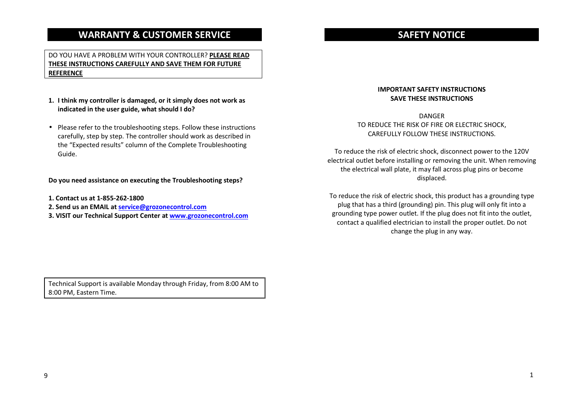### **WARRANTY & CUSTOMER SERVICE**

#### DO YOU HAVE A PROBLEM WITH YOUR CONTROLLER? **PLEASE READ THESE INSTRUCTIONS CAREFULLY AND SAVE THEM FOR FUTURE REFERENCE**

- **1. I think my controller is damaged, or it simply does not work as indicated in the user guide, what should I do?**
- Please refer to the troubleshooting steps. Follow these instructions carefully, step by step. The controller should work as described in the "Expected results" column of the Complete Troubleshooting Guide.

#### **Do you need assistance on executing the Troubleshooting steps?**

**1. Contact us at 1-855-262-1800** 

- **2. Send us an EMAIL at service@grozonecontrol.com**
- **3. VISIT our Technical Support Center at www.grozonecontrol.com**

# **SAFETY NOTICE**

#### **IMPORTANT SAFETY INSTRUCTIONS SAVE THESE INSTRUCTIONS**

DANGER TO REDUCE THE RISK OF FIRE OR ELECTRIC SHOCK, CAREFULLY FOLLOW THESE INSTRUCTIONS.

To reduce the risk of electric shock, disconnect power to the 120V electrical outlet before installing or removing the unit. When removing the electrical wall plate, it may fall across plug pins or become displaced.

To reduce the risk of electric shock, this product has a grounding type plug that has a third (grounding) pin. This plug will only fit into a grounding type power outlet. If the plug does not fit into the outlet, contact a qualified electrician to install the proper outlet. Do not change the plug in any way.

Technical Support is available Monday through Friday, from 8:00 AM to 8:00 PM, Eastern Time.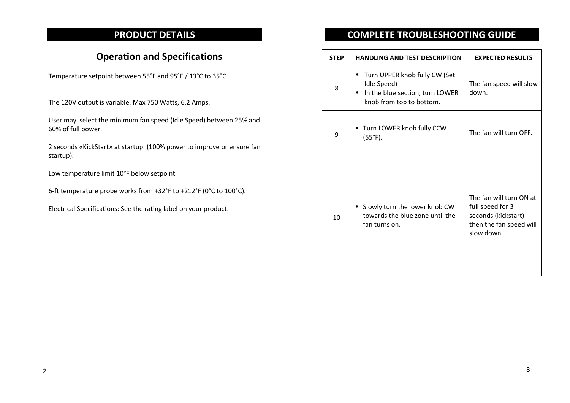# **PRODUCT DETAILS**

# **Operation and Specifications**

Temperature setpoint between 55°F and 95°F / 13°C to 35°C.

The 120V output is variable. Max 750 Watts, 6.2 Amps.

User may select the minimum fan speed (Idle Speed) between 25% and 60% of full power.

2 seconds «KickStart» at startup. (100% power to improve or ensure fan startup).

Low temperature limit 10°F below setpoint

6-ft temperature probe works from +32°F to +212°F (0°C to 100°C).

Electrical Specifications: See the rating label on your product.

# **COMPLETE TROUBLESHOOTING GUIDE**

| <b>STEP</b> | <b>HANDLING AND TEST DESCRIPTION</b>                                                                        | <b>EXPECTED RESULTS</b>                                                                                     |
|-------------|-------------------------------------------------------------------------------------------------------------|-------------------------------------------------------------------------------------------------------------|
| 8           | Turn UPPER knob fully CW (Set<br>Idle Speed)<br>In the blue section, turn LOWER<br>knob from top to bottom. | The fan speed will slow<br>down.                                                                            |
| 9           | Turn LOWER knob fully CCW<br>$(55^{\circ}F).$                                                               | The fan will turn OFF.                                                                                      |
| 10          | Slowly turn the lower knob CW<br>$\bullet$<br>towards the blue zone until the<br>fan turns on.              | The fan will turn ON at<br>full speed for 3<br>seconds (kickstart)<br>then the fan speed will<br>slow down. |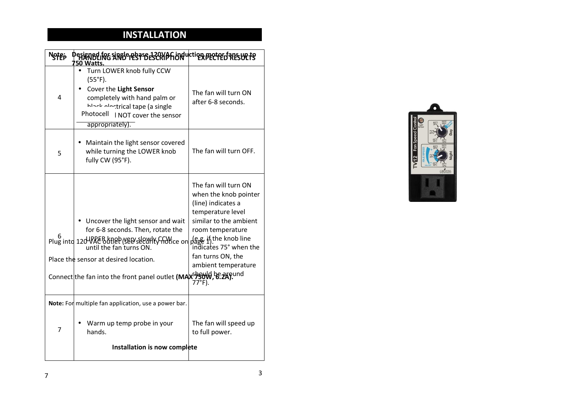## **INSTALLATION**

| Note; | OBLING SINGLE BRASE 120VAF UN UCTION PROTECT PLES UP TS<br>50 Watts                                                                                                                                                                                                                |                                                                                                                                                                                              |
|-------|------------------------------------------------------------------------------------------------------------------------------------------------------------------------------------------------------------------------------------------------------------------------------------|----------------------------------------------------------------------------------------------------------------------------------------------------------------------------------------------|
| 4     | Turn LOWER knob fully CCW<br>$(55^{\circ}F).$<br>Cover the Light Sensor<br>completely with hand palm or<br>hlack electrical tape (a single<br>Photocell<br>I NOT cover the sensor<br>appropriately).                                                                               | The fan will turn ON<br>after 6-8 seconds.                                                                                                                                                   |
| 5     | Maintain the light sensor covered<br>while turning the LOWER knob<br>fully CW (95°F).                                                                                                                                                                                              | The fan will turn OFF.                                                                                                                                                                       |
|       | Uncover the light sensor and wait<br>for 6-8 seconds. Then, rotate the<br>Plug into 12d VAC outlet (see slowly CCW, e.g. if the knob line<br>until the fan turns ON.<br>Place the sensor at desired location.<br>Connect the fan into the front panel outlet (MAXSPSUN, BE 2AP und | The fan will turn ON<br>when the knob pointer<br>(line) indicates a<br>temperature level<br>similar to the ambient<br>room temperature<br>fan turns ON, the<br>ambient temperature<br>77°F). |
| 7     | Note: For multiple fan application, use a power bar.<br>Warm up temp probe in your<br>hands.                                                                                                                                                                                       | The fan will speed up<br>to full power.                                                                                                                                                      |
|       | Installation is now complete                                                                                                                                                                                                                                                       |                                                                                                                                                                                              |

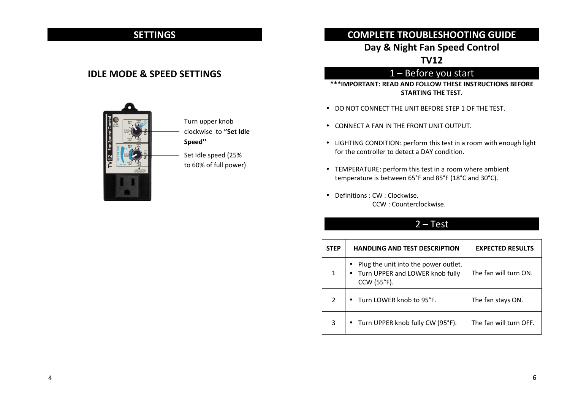# **SETTINGS**

#### **IDLE MODE & SPEED SETTINGS**



Turn upper knob clockwise to '**'Set Idle Speed''** 

Set Idle speed (25% to 60% of full power)

#### **COMPLETE TROUBLESHOOTING GUIDE**

#### **Day & Night Fan Speed Control**

**TV12** 

# 1 – Before you start

**\*\*\*IMPORTANT: READ AND FOLLOW THESE INSTRUCTIONS BEFORE STARTING THE TEST.** 

- DO NOT CONNECT THE UNIT BEFORE STEP 1 OF THE TEST.
- CONNECT A FAN IN THE FRONT UNIT OUTPUT.
- LIGHTING CONDITION: perform this test in a room with enough light for the controller to detect a DAY condition.
- TEMPERATURE: perform this test in a room where ambient temperature is between 65°F and 85°F (18°C and 30°C).
- Definitions : CW : Clockwise. CCW : Counterclockwise.

#### 2 – Test

| <b>STEP</b> | <b>HANDLING AND TEST DESCRIPTION</b>                                                   | <b>EXPECTED RESULTS</b> |
|-------------|----------------------------------------------------------------------------------------|-------------------------|
| 1           | Plug the unit into the power outlet.<br>Turn UPPER and LOWER knob fully<br>CCW (55°F). | The fan will turn ON.   |
| 2           | Turn LOWER knob to 95°F.                                                               | The fan stays ON.       |
| 3           | • Turn UPPER knob fully CW (95°F).                                                     | The fan will turn OFF.  |